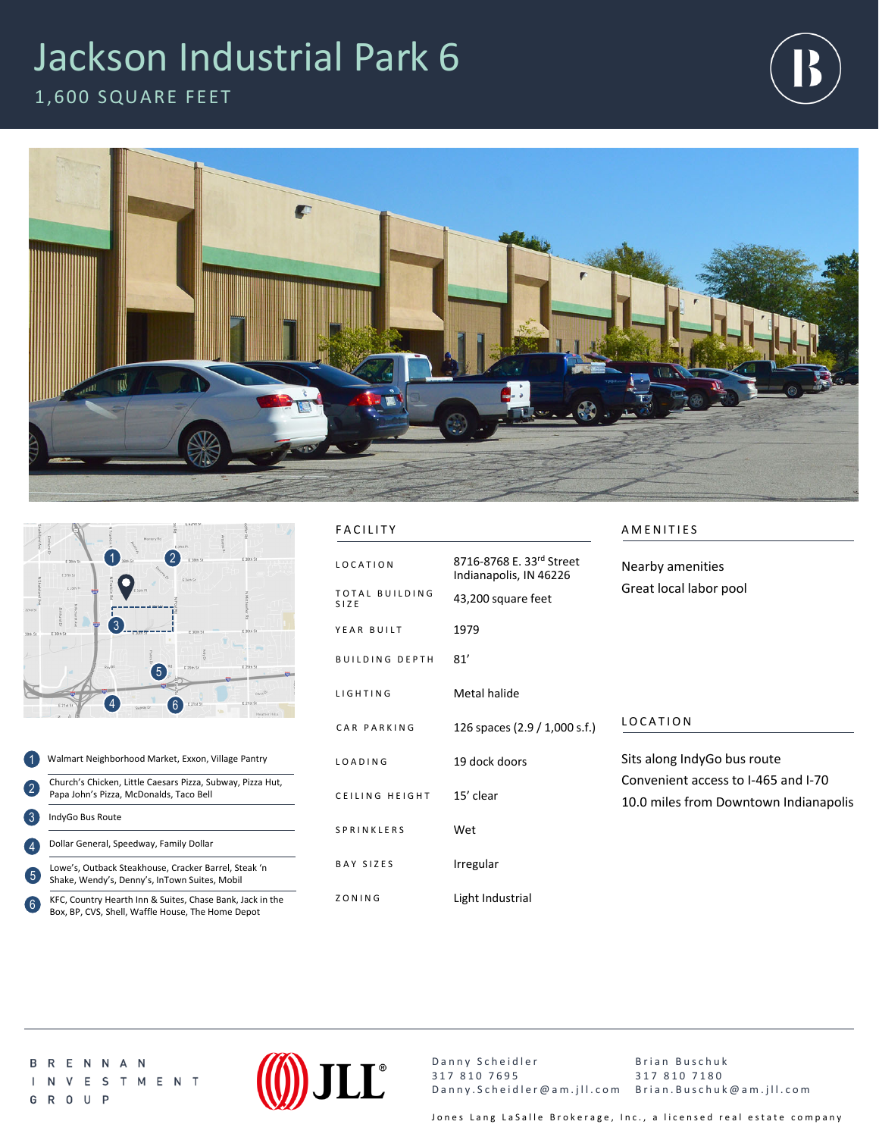## Jackson Industrial Park 6



1,600 SQUARE FEET





1 2 3 4 5 Walmart Neighborhood Market, Exxon, Village Pantry Church's Chicken, Little Caesars Pizza, Subway, Pizza Hut, Papa John's Pizza, McDonalds, Taco Bell IndyGo Bus Route Lowe's, Outback Steakhouse, Cracker Barrel, Steak 'n Shake, Wendy's, Denny's, InTown Suites, Mobil Dollar General, Speedway, Family Dollar

KFC, Country Hearth Inn & Suites, Chase Bank, Jack in the Box, BP, CVS, Shell, Waffle House, The Home Depot 6

## FACILITY AMENITIES

| <b>LOCATION</b>               | 8716-8768 E. 33rd Street<br>Indianapolis, IN 46226 | Nearby amenities<br>Great local labor pool                                                                  |
|-------------------------------|----------------------------------------------------|-------------------------------------------------------------------------------------------------------------|
| <b>TOTAL BUILDING</b><br>SIZE | 43,200 square feet                                 |                                                                                                             |
| YEAR BUILT                    | 1979                                               |                                                                                                             |
| <b>BUILDING DEPTH</b>         | 81'                                                |                                                                                                             |
| LIGHTING                      | Metal halide                                       |                                                                                                             |
| CAR PARKING                   | 126 spaces (2.9 / 1,000 s.f.)                      | <b>LOCATION</b>                                                                                             |
| LOADING                       | 19 dock doors                                      | Sits along IndyGo bus route<br>Convenient access to I-465 and I-70<br>10.0 miles from Downtown Indianapolis |
| CEILING HEIGHT                | 15' clear                                          |                                                                                                             |
| <b>SPRINKLERS</b>             | Wet                                                |                                                                                                             |
| <b>BAY SIZES</b>              | Irregular                                          |                                                                                                             |
| ZONING                        | Light Industrial                                   |                                                                                                             |

R E N N A N B I N V E S T M E N T G R O U P



Danny Scheidler 317 810 7695 Danny.Scheidler@am.jll.com Brian.Buschuk@am.jll.com Brian Buschuk 317 810 7180

Jones Lang LaSalle Brokerage, Inc., a licensed real estate company